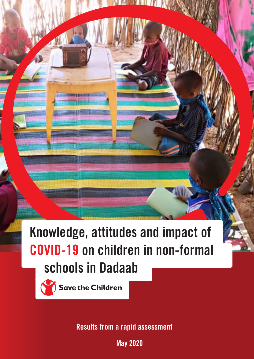**Knowledge, attitudes and impact of schools in Dadaab COVID-19 on children in non-formal**

 $\mathsf{I}$ 



**Save the Children** 

**Results from a rapid assessment**

e de la provincia de la provincia de la provincia de la provincia de la provincia de la provincia de la provin<br>Personal de la provincia de la provincia de la provincia de la provincia de la provincia de la provincia de la **May 2020**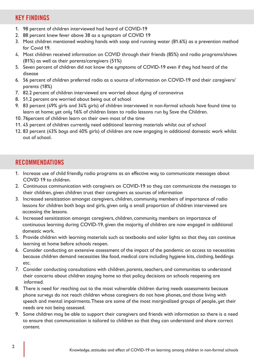# **KEY FINDINGS**

- 1. 98 percent of children interviewed had heard of COVID-19
- 2. 88 percent knew fever above 38 as a symptom of COVID 19
- 3. Most children mentioned washing hands with soap and running water (81.6%) as a prevention method for Covid 19.
- 4. Most children received information on COVID through their friends (85%) and radio programs/shows (81%) as well as their parents/caregivers (51%)
- 5. Seven percent of children did not know the symptoms of COVID-19 even if they had heard of the disease
- 6. 56 percent of children preferred radio as a source of information on COVID-19 and their caregivers/ parents (18%)
- 7. 82.2 percent of children interviewed are worried about dying of coronavirus
- 8. 51.2 percent are worried about being out of school
- 9. 83 percent (49% girls and 34% girls) of children interviewed in non-formal schools have found time to learn at home; yet only 16% of children listen to radio lessons run by Save the Children.
- 10. 76percent of children learn on their own most of the time
- 11. 45 percent of children currently need additional learning materials whilst out of school
- 12. 83 percent (43% boys and 40% girls) of children are now engaging in additional domestic work whilst out of school.

# **RECOMMENDATIONS**

- 1. Increase use of child friendly radio programs as an effective way to communicate messages about COVID 19 to children.
- 2. Continuous communication with caregivers on COVID-19 so they can communicate the messages to their children, given children trust their caregivers as sources of information
- 3. Increased sensitization amongst caregivers, children, community members of importance of radio lessons for children both boys and girls, given only a small proportion of children interviewed are accessing the lessons.
- 4. Increased sensitization amongst caregivers, children, community members on importance of continuous learning during COVID-19, given the majority of children are now engaged in additional domestic work.
- 5. Provide children with learning materials such as textbooks and solar lights so that they can continue learning at home before schools reopen.
- 6. Consider conducting an extensive assessment of the impact of the pandemic on access to necessities because children demand necessities like food, medical care including hygiene kits, clothing, beddings etc.
- 7. Consider conducting consultations with children, parents, teachers, and communities to understand their concerns about children staying home so that policy decisions on schools reopening are informed.
- 8. There is need for reaching out to the most vulnerable children during needs assessments because phone surveys do not reach children whose caregivers do not have phones, and those living with speech and mental impairments. These are some of the most marginalized groups of people, yet their needs are not being assessed.
- 9. Some children may be able to support their caregivers and friends with information so there is a need to ensure that communication is tailored to children so that they can understand and share correct content.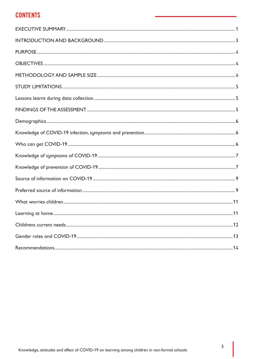# **CONTENTS**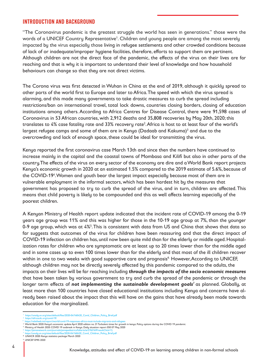## **INTRODUCTION AND BACKGROUND**

"The Coronavirus pandemic is the greatest struggle the world has seen in generations." those were the words of a UNICEF Country Representative<sup>1</sup>. Children and young people are among the most severely impacted by the virus especially those living in refugee settlements and other crowded conditions because of lack of or inadequate/improper hygiene facilities, therefore, efforts to support them are pertinent. Although children are not the direct face of the pandemic, the effects of the virus on their lives are far reaching and that is why it is important to understand their level of knowledge and how household behaviours can change so that they are not direct victims.

The Corona virus was first detected in Wuhan in China at the end of 2019, although it quickly spread to other parts of the world first to Europe and later to Africa. The speed with which the virus spread is alarming, and this made many governments to take drastic measures to curb the spread including restrictions/ban on international travel, total lock downs, countries closing borders, closing of education institutions among others. According to Africa Centres for Disease Control, there were 91,598 cases of Coronavirus in 53 African countries, with 2,912 deaths and 35,808 recoveries by May 20th, 2020; this translates to 4% case fatality rate and 33% recovery rate<sup>2</sup>. Africa is host to at least four of the world's largest refugee camps and some of them are in Kenya (Dadaab and Kakuma)<sup>3</sup> and due to the overcrowding and lack of enough space, these could be ideal for transmitting the virus.

Kenya reported the first coronavirus case March 13th and since then the numbers have continued to increase mainly in the capital and the coastal towns of Mombasa and Kilifi but also in other parts of the country. The effects of the virus on every sector of the economy are dire and a World Bank report projects Kenya's economic growth in 2020 at an estimated 1.5% compared to the 2019 estimate of 5.6%, because of the COVID-19<sup>4</sup>. Women and youth bear the largest impact especially because most of them are in vulnerable employment in the informal sectors, which has been hardest hit by the measures that government has proposed to try to curb the spread of the virus, and in turn, children are affected. This means that child poverty is likely to be compounded and this as well affects learning especially of the poorest children.

A Kenyan Ministry of Health report update indicated that the incident rate of COVID-19 among the 0-19 years age group was 11% and this was higher for those in the 10-19 age group at 7%, than the younger 0-9 age group, which was at 4%<sup>5</sup>. This is consistent with data from US and China that shows that data so far suggests that outcomes of the virus for children have been reassuring and that the direct impact of COVID-19 infection on children has, until now been quite mild than for the elderly or middle aged. Hospitalization rates for children who are symptomatic are at least up to 20 times lower than for the middle aged and in some cases up to even 100 times lower than for the elderly and that most of the ill children recover within in one to two weeks with good supportive care and prognosis<sup>6.</sup> However, According to UNICEF, although children may not be directly severely affected by this pandemic compared to the adults, the impacts on their lives will be far reaching including *through the impacts of the socio economic measures*  that have been taken by various government to try and curb the spread of the pandemic or through the longer term effects of *not implementing the sustainable development goals<sup>7</sup>* as planned. Globally, at least more than 100 countries have closed educational institutions including Kenya and concerns have already been raised about the impact that this will have on the gains that have already been made towards education for the marginalized.

- 8 UNHCR 2020: Kenya statistics package March 2020
- 9 UNICEF EMIS 2020

<sup>1</sup> https://unsdg.un.org/sites/default/files/2020-04/160420\_Covid\_Children\_Policy\_Brief.pdf

https://africacdc.org/covid-19/<br>https://moliofiush.int/mport/world/covid-19-mo

<sup>&</sup>lt;sup>3</sup>https://reliefweb.int/report/world/covid-19-responses-africa-must-include-migrants-and-refugees<br><sup>4</sup> World Bank 2020:Kenya's economic update April 2020 edition no. 21 Turbulent times for growth in kenya. Policy options d

Ministry of Health 2020: COVID 19 outbreak in Kenya. Daily situation report 050 07 May 2020<br>https://jamanetwork.com/journals/jamapediatrics/fullarticle/2765169?resultClick=1)

amapediatrics/fullarticle/2765169?resultClick=1)<br>es/2020-04/160420 Covid Children Policy Brief.pdf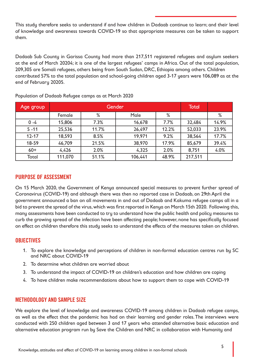This study therefore seeks to understand if and how children in Dadaab continue to learn; and their level of knowledge and awareness towards COVID-19 so that appropriate measures can be taken to support them.

Dadaab Sub County in Garissa County had more than 217,511 registered refugees and asylum seekers at the end of March 20204; it is one of the largest refugees' camps in Africa. Out of the total population, 209,305 are Somali refugees, others being from South Sudan, DRC, Ethiopia among others. Children contributed 57% to the total population and school-going children aged 3-17 years were 106,089 as at the end of February 20205.

| Age group | Gender  |       |         | <b>Total</b> |         |       |
|-----------|---------|-------|---------|--------------|---------|-------|
|           | Female  | %     | Male    | %            |         | %     |
| $0 - 4$   | 15,806  | 7.3%  | 16,678  | 7.7%         | 32,484  | 14.9% |
| $5 - 11$  | 25,536  | 11.7% | 26,497  | 12.2%        | 52,033  | 23.9% |
| $12 - 17$ | 18,593  | 8.5%  | 19,971  | 9.2%         | 38,564  | 17.7% |
| 18-59     | 46,709  | 21.5% | 38,970  | 17.9%        | 85,679  | 39.4% |
| $60+$     | 4,426   | 2.0%  | 4,325   | 2.0%         | 8,751   | 4.0%  |
| Total     | 111,070 | 51.1% | 106,441 | 48.9%        | 217,511 |       |

Population of Dadaab Refugee camps as at March 2020

## **PURPOSE OF ASSESSMENT**

On 15 March 2020, the Government of Kenya announced special measures to prevent further spread of Coronavirus (COVID-19) and although there was then no reported case in Dadaab, on 29th April the government announced a ban on all movements in and out of Dadaab and Kakuma refugee camps all in a bid to prevent the spread of the virus, which was first reported in Kenya on March 15th 2020. Following this, many assessments have been conducted to try to understand how the public health and policy measures to curb the growing spread of the infection have been affecting people; however, none has specifically focused on effect on children therefore this study seeks to understand the effects of the measures taken on children.

## **OBJECTIVES**

- 1. To explore the knowledge and perceptions of children in non-formal education centres run by SC and NRC about COVID-19
- 2. To determine what children are worried about
- 3. To understand the impact of COVID-19 on children's education and how children are coping
- 4. To have children make recommendations about how to support them to cope with COVID-19

## **METHODOLOGY AND SAMPLE SIZE**

We explore the level of knowledge and awareness COVID-19 among children in Dadaab refugee camps, as well as the effect that the pandemic has had on their learning and gender roles. The interviews were conducted with 250 children aged between 3 and 17 years who attended alternative basic education and alternative education program run by Save the Children and NRC in collaboration with Humanity and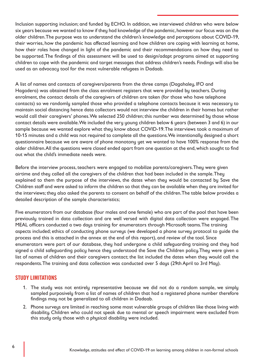Inclusion supporting inclusion; and funded by ECHO. In addition, we interviewed children who were below six years because we wanted to know if they had knowledge of the pandemic, however our focus was on the older children. The purpose was to understand the children's knowledge and perceptions about COVID-19, their worries, how the pandemic has affected learning and how children are coping with learning at home, how their roles have changed in light of the pandemic and their recommendations on how they need to be supported. The findings of this assessment will be used to design/adapt programs aimed at supporting children to cope with the pandemic and target messages that address children's needs. Findings will also be used as an advocacy tool for the most vulnerable refugees in Dadaab.

A list of names and contacts of caregivers/parents from the three camps (Dagahaley, IFO and Hagadera) was obtained from the class enrolment registers that were provided by teachers. During enrolment, the contact details of the caregivers of children are taken (for those who have telephone contacts) so we randomly sampled those who provided a telephone contacts because it was necessary to maintain social distancing hence data collectors would not interview the children in their homes but rather would call their caregivers' phones. We selected 250 children; this number was determined by those whose contact details were available. We included the very young children below 6 years (between 3 and 6) in our sample because we wanted explore what they know about COVID-19. The interviews took a maximum of 10-15 minutes and a child was not required to complete all the questions. We intentionally designed a short questionnaire because we are aware of phone monotony yet we wanted to have 100% response from the older children. All the questions were closed ended apart from one question at the end, which sought to find out what the child's immediate needs were.

Before the interview process, teachers were engaged to mobilize parents/caregivers. They were given airtime and they called all the caregivers of the children that had been included in the sample. They explained to them the purpose of the interviews, the dates when they would be contacted by Save the Children staff and were asked to inform the children so that they can be available when they are invited for the interviews; they also asked the parents to consent on behalf of the children. The table below provides a detailed description of the sample characteristics;

Five enumerators from our database (four males and one female) who are part of the pool that have been previously trained in data collection and are well versed with digital data collection were engaged. The MEAL officers conducted a two days training for enumerators through Microsoft teams. The training aspects included; ethics of conducting phone surveys (we developed a phone survey protocol to guide the process and this is attached in the annex at the end of this report), and review of the tool. Since enumerators were part of our database, they had undergone a child safeguarding training and they had signed a child safeguarding policy hence they understood the Save the Children policy. They were given a list of names of children and their caregivers contact; the list included the dates when they would call the respondents. The training and data collection was conducted over 5 days (29th April to 3rd May).

# **STUDY LIMITATIONS**

- 1. The study was not entirely representative because we did not do a random sample, we simply sampled purposively from a list of names of children that had a registered phone number therefore findings may not be generalized to all children in Dadaab.
- 2. Phone surveys are limited in reaching some most vulnerable groups of children like those living with disability. Children who could not speak due to mental or speech impairment were excluded from this study only those with a physical disability were included.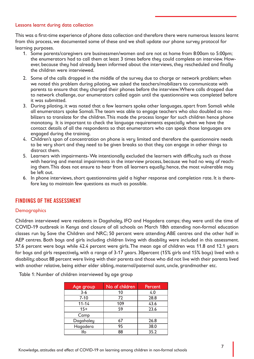#### Lessons learnt during data collection

This was a first-time experience of phone data collection and therefore there were numerous lessons learnt from this process, we documented some of these and we shall update our phone survey protocol for learning purposes.

- 1. Some parents/caregivers are businessmen/women and are not at home from 8:00am to 5:00pm; the enumerators had to call them at least 3 times before they could complete an interview. However, because they had already been informed about the interviews, they rescheduled and finally the children were interviewed.
- 2. Some of the calls dropped in the middle of the survey due to charge or network problem; when we noted this problem during piloting, we asked the teachers/mobilizers to communicate with parents to ensure that they charged their phones before the interview. Where calls dropped due to network challenge, our enumerators called again until the questionnaire was completed before it was submitted.
- 3. During piloting, it was noted that a few learners spoke other languages, apart from Somali while all enumerators spoke Somali. The team was able to engage teachers who also doubled as mobilizers to translate for the children. This made the process longer for such children hence phone monotony. It is important to check the language requirements especially when we have the contact details of all the respondents so that enumerators who can speak those languages are engaged during the training.
- 4. Children's span of concentration on phone is very limited and therefore the questionnaire needs to be very short and they need to be given breaks so that they can engage in other things to distract them.
- 5. Learners with impairments- We intentionally excluded the learners with difficulty such as those with hearing and mental impairments in the interview process, because we had no way of reaching them. This does not ensure to hear from all learners equally; hence, the most vulnerable may be left out.
- 6. In phone interviews, short questionnaires yield a higher response and completion rate. It is therefore key to maintain few questions as much as possible.

# **FINDINGS OF THE ASSESSMENT**

#### **Demographics**

Children interviewed were residents in Dagahaley, IFO and Hagadera camps; they were until the time of COVID-19 outbreak in Kenya and closure of all schools on March 18th attending non-formal education classes run by Save the Children and NRC; 50 percent were attending ABE centres and the other half in AEP centres. Both boys and girls including children living with disability were included in this assessment. 57.6 percent were boys while 42.4 percent were girls. The mean age of children was 11.8 and 12.1 years for boys and girls respectively, with a range of 3-17 years. 30percent (15% girls and 15% boys) lived with a disability; about 88 percent were living with their parents and those who did not live with their parents lived with another relative, being either elder sibling, maternal/paternal aunt, uncle, grandmother etc.

Table 1: Number of children interviewed by age group

| Age group | No of children | Percent |
|-----------|----------------|---------|
| $3-6$     | 10             | 4.0     |
| $7 - 10$  | 72             | 28.8    |
| $11 - 14$ | 109            | 43.6    |
| $15+$     | 59             | 23.6    |
| Camp      |                |         |
| Dagahaley | 67             | 26.8    |
| Hagadera  | 95             | 38.0    |
| lfo       | 88             | 35.2    |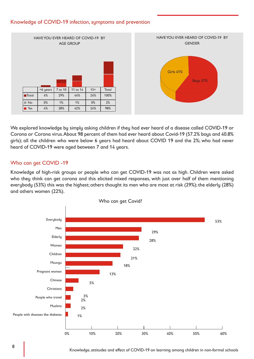#### Knowledge of COVID-19 infection, symptoms and prevention



We explored knowledge by simply asking children if they had ever heard of a disease called COVID-19 or Corona or Corona virus. About 98 percent of them had ever heard about Covid-19 (57.2% boys and 40.8% girls); all the children who were below 6 years had heard about COVID 19 and the 2%; who had never heard of COVID-19 were aged between 7 and 14 years.

#### Who can get COVID -19

Knowledge of high-risk groups or people who can get COVID-19 was not as high. Children were asked who they think can get corona and this elicited mixed responses, with just over half of them mentioning everybody (53%) this was the highest; others thought its men who are most at risk (29%); the elderly (28%) and others women (22%).



Knowledge, attitudes and effect of COVID-19 on learning among children in non-formal schools Knowledge, attitudes and effect of COVID-19 on learning among children in non-formal schools 8 9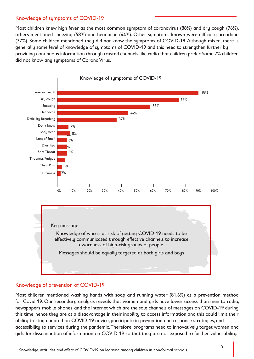#### Knowledge of symptoms of COVID-19

Most children knew high fever as the most common symptom of coronavirus (88%) and dry cough (76%), others mentioned sneezing (58%) and headache (44%). Other symptoms known were difficulty breathing (37%). Some children mentioned they did not know the symptoms of COVID-19. Although mixed, there is generally some level of knowledge of symptoms of COVID-19 and this need to strengthen further by providing continuous information through trusted channels like radio that children prefer. Some 7% children did not know any symptoms of Corona Virus.



#### Knowledge of prevention of COVID-19

Most children mentioned washing hands with soap and running water (81.6%) as a prevention method for Covid 19. Our secondary analysis reveals that women and girls have lower access than men to radio, newspapers, mobile phones, and the internet which are the sole channels of messages on COVID-19 during this time, hence they are at a disadvantage in their inability to access information and this could limit their ability to stay updated on COVID-19 advice, participate in prevention and response strategies, and accessibility to services during the pandemic. Therefore, programs need to innovatively target women and girls for dissemination of information on COVID-19 so that they are not exposed to further vulnerability.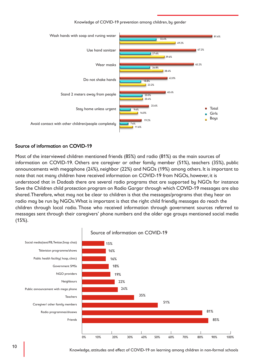Knowledge of COVID-19 prevention among children, by gender



#### Source of information on COVID-19

Most of the interviewed children mentioned friends (85%) and radio (81%) as the main sources of information on COVID-19. Others are caregiver or other family member (51%), teachers (35%), public announcements with megaphone (24%), neighbor (22%) and NGOs (19%) among others. It is important to note that not many children have received information on COVID-19 from NGOs, however, it is understood that in Dadaab there are several radio programs that are supported by NGOs for instance Save the Children child protection program on Radio Gargar through which COVID-19 messages are also shared. Therefore, what may not be clear to children is that the messages/programs that they hear on radio may be run by NGOs. What is important is that the right child friendly messages do reach the children through local radio. Those who received information through government sources referred to messages sent through their caregivers' phone numbers and the older age groups mentioned social media (15%).



Knowledge, attitudes and effect of COVID-19 on learning among children in non-formal schools Knowledge, attitudes and effect of COVID-19 on learning among children in non-formal schools 10 11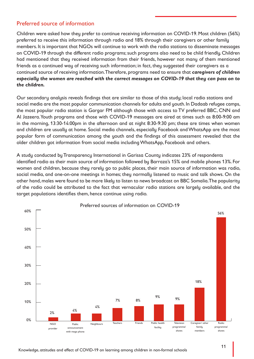# Preferred source of information

Children were asked how they prefer to continue receiving information on COVID-19. Most children (56%) preferred to receive this information through radio and 18% through their caregivers or other family members. It is important that NGOs will continue to work with the radio stations to disseminate messages on COVID-19 through the different radio programs; such programs also need to be child friendly. Children had mentioned that they received information from their friends, however not many of them mentioned friends as a continued way of receiving such information; in fact, they suggested their caregivers as a continued source of receiving information. Therefore, programs need to ensure that *caregivers of children especially the women are reached with the correct messages on COVID-19 that they can pass on to the children.* 

Our secondary analysis reveals findings that are similar to those of this study; local radio stations and social media are the most popular communication channels for adults and youth. In Dadaab refugee camps, the most popular radio station is Gargar FM although those with access to TV preferred BBC, CNN and Al Jazeera. Youth programs and those with COVID-19 messages are aired at times such as 8:00-9:00 am in the morning, 13:30-14:00pm in the afternoon and at night 8:30-9:30 pm; these are times when women and children are usually at home. Social media channels, especially Facebook and WhatsApp are the most popular form of communication among the youth and the findings of this assessment revealed that the older children got information from social media including WhatsApp, Facebook and others.

A study conducted by Transparency International in Garissa County indicates 23% of respondents identified radio as their main source of information followed by Barraza's 15% and mobile phones 13%. For women and children, because they rarely go to public places, their main source of information was radio, social media, and one-on-one meetings in homes; they normally listened to music and talk shows. On the other hand, males were found to be more likely to listen to news broadcast on BBC Somalia. The popularity of the radio could be attributed to the fact that vernacular radio stations are largely available, and the target populations identifies them, hence continue using radio.

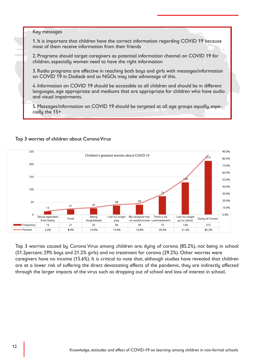#### Key messages

1. It is important that children have the correct information regarding COVID 19 because most of them receive information from their friends

2. Programs should target caregivers as potential information channel on COVID 19 for children, especially women need to have the right information

3. Radio programs are effective in reaching both boys and girls with messages/information on COVID 19 in Dadaab and so NGOs may take advantage of this.

4. Information on COVID 19 should be accessible to all children and should be in different languages, age appropriate and mediums that are appropriate for children who have audio and visual impairments.

5. Messages/information on COVID 19 should be targeted at all age groups equally, especially the 15+

#### Top 3 worries of children about Corona Virus



Top 3 worries caused by Corona Virus among children are; dying of corona (85.2%), not being in school (51.2percent; 29% boys and 21.2% girls) and no treatment for corona (29.2%). Other worries were caregivers have no income (15.6%). It is critical to note that, although studies have revealed that children are at a lower risk of suffering the direct devastating effects of the pandemic, they are indirectly affected through the larger impacts of the virus such as dropping out of school and loss of interest in school.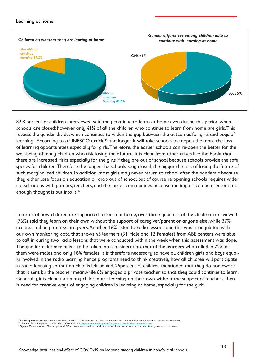#### Learning at home



82.8 percent of children interviewed said they continue to learn at home even during this period when schools are closed; however only 41% of all the children who continue to learn from home are girls. This reveals the gender divide, which continues to widen the gap between the outcomes for girls and boys of learning. According to a UNESCO article<sup>11,</sup> the longer it will take schools to reopen the more the loss of learning opportunities especially for girls. Therefore, the earlier schools can re-open the better for the well-being of many children who risk losing their future. It is clear from other crises like the Ebola that there are increased risks especially for the girls if they are out of school because schools provide the safe spaces for children. Therefore the longer the schools stay closed, the bigger the risk of losing the future of such marginalized children. In addition, most girls may never return to school after the pandemic because they either lose focus on education or drop out of school but of course re opening schools requires wider consultations with parents, teachers, and the larger communities because the impact can be greater if not enough thought is put into it.<sup>12</sup>

In terms of how children are supported to learn at home; over three quarters of the children interviewed (76%) said they learn on their own without the support of caregiver/parent or anyone else, while 37% are assisted by parents/caregivers. Another 16% listen to radio lessons and this was triangulated with our own monitoring data that shows 43 learners (31 Male and 12 Females) from ABE centers were able to call in during two radio lessons that were conducted within the week when this assessment was done. The gender difference needs to be taken into consideration, that of the learners who called in 72% of them were males and only 18% females. It is therefore necessary to have all children girls and boys equally involved in the radio learning hence programs need to think creatively how all children will participate in radio learning so that no child is left behind. 25percent of children mentioned that they do homework that is sent by the teacher meanwhile 6% engaged a private teacher so that they could continue to learn. Generally, it is clear that many children are learning on their own without the support of teachers; there is need for creative ways of engaging children in learning at home, especially for the girls.

<sup>&</sup>lt;sup>19</sup>Joe Hallgarten Education Development Trust March 2020: Evidence on the efforts to mitigate the negative educational impacts of past disease outbreaks<br><sup>11</sup>15th May 2020: Reopening schools: when where and how <u>https://en</u>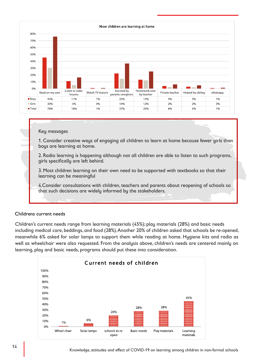

#### Key messages

1. Consider creative ways of engaging all children to learn at home because fewer girls than boys are learning at home.

2. Radio learning is happening although not all children are able to listen to such programs, girls specifically are left behind.

3. Most children learning on their own need to be supported with textbooks so that their learning can be meaningful

4.Consider consultations with children, teachers and parents about reopening of schools so that such decisions are widely informed by the stakeholders.

#### Childrens current needs

Children's current needs range from learning materials (45%); play materials (28%) and basic needs including medical care, beddings, and food (28%). Another 20% of children asked that schools be re-opened, meanwhile 6% asked for solar lamps to support them while reading at home. Hygiene kits and radio as well as wheelchair were also requested. From the analysis above, children's needs are centered mainly on learning, play and basic needs, programs should put these into consideration.

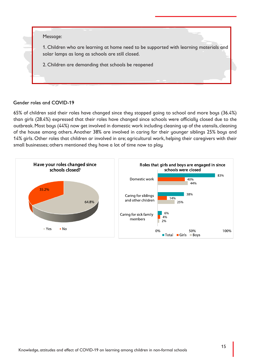

#### Gender roles and COVID-19

65% of children said their roles have changed since they stopped going to school and more boys (36.4%) than girls (28.4%) expressed that their roles have changed since schools were officially closed due to the outbreak. Most boys (44%) now get involved in domestic work including cleaning up of the utensils, cleaning of the house among others. Another 38% are involved in caring for their younger siblings 25% boys and 14% girls. Other roles that children ar involved in are; agricultural work, helping their caregivers with their small businesses; others mentioned they have a lot of time now to play.

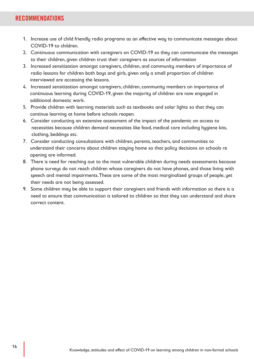# **RECOMMENDATIONS**

- 1. Increase use of child friendly radio programs as an effective way to communicate messages about COVID-19 to children.
- 2. Continuous communication with caregivers on COVID-19 so they can communicate the messages to their children, given children trust their caregivers as sources of information
- 3. Increased sensitization amongst caregivers, children, and community members of importance of radio lessons for children both boys and girls, given only a small proportion of children interviewed are accessing the lessons.
- 4. Increased sensitization amongst caregivers, children, community members on importance of continuous learning during COVID-19, given the majority of children are now engaged in additional domestic work.
- 5. Provide children with learning materials such as textbooks and solar lights so that they can continue learning at home before schools reopen.
- 6. Consider conducting an extensive assessment of the impact of the pandemic on access to necessities because children demand necessities like food, medical care including hygiene kits, clothing, beddings etc.
- 7. Consider conducting consultations with children, parents, teachers, and communities to understand their concerns about children staying home so that policy decisions on schools re opening are informed.
- 8. There is need for reaching out to the most vulnerable children during needs assessments because phone surveys do not reach children whose caregivers do not have phones, and those living with speech and mental impairments. These are some of the most marginalized groups of people, yet their needs are not being assessed.
- 9. Some children may be able to support their caregivers and friends with information so there is a need to ensure that communication is tailored to children so that they can understand and share correct content.